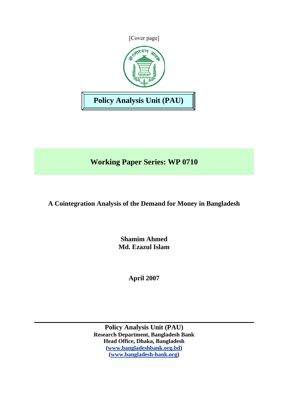

# **Working Paper Series: WP 0710**

**A Cointegration Analysis of the Demand for Money in Bangladesh** 

**Shamim Ahmed Md. Ezazul Islam** 

**April 2007** 

**Policy Analysis Unit (PAU) Research Department, Bangladesh Bank Head Office, Dhaka, Bangladesh ([www.bangladeshbank.org.bd](http://www.bangladeshbank.org.bd/)) ([www.bangladesh-bank.org](http://www.bangladesh-bank.org/))**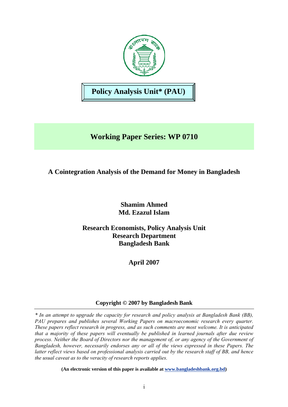

# **Working Paper Series: WP 0710**

# **A Cointegration Analysis of the Demand for Money in Bangladesh**

**Shamim Ahmed Md. Ezazul Islam** 

**Research Economists, Policy Analysis Unit Research Department Bangladesh Bank** 

**April 2007** 

# **Copyright © 2007 by Bangladesh Bank**

*\* In an attempt to upgrade the capacity for research and policy analysis at Bangladesh Bank (BB), PAU prepares and publishes several Working Papers on macroeconomic research every quarter. These papers reflect research in progress, and as such comments are most welcome. It is anticipated that a majority of these papers will eventually be published in learned journals after due review process. Neither the Board of Directors nor the management of, or any agency of the Government of Bangladesh, however, necessarily endorses any or all of the views expressed in these Papers. The latter reflect views based on professional analysis carried out by the research staff of BB, and hence the usual caveat as to the veracity of research reports applies.* 

**(An electronic version of this paper is available at [www.bangladeshbank.org.bd](http://www.bangladeshbank.org.bd/research/pau.html))**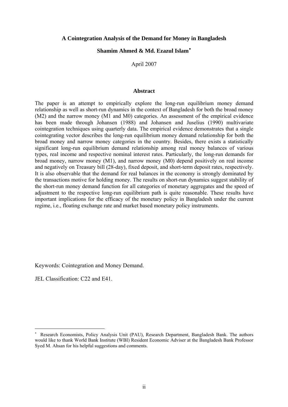#### **A Cointegration Analysis of the Demand for Money in Bangladesh**

# **Shamim Ahmed & Md. Ezazul Islam**[∗](#page-2-0)

April 2007

#### **Abstract**

The paper is an attempt to empirically explore the long-run equilibrium money demand relationship as well as short-run dynamics in the context of Bangladesh for both the broad money (M2) and the narrow money (M1 and M0) categories. An assessment of the empirical evidence has been made through Johansen (1988) and Johansen and Juselius (1990) multivariate cointegration techniques using quarterly data. The empirical evidence demonstrates that a single cointegrating vector describes the long-run equilibrium money demand relationship for both the broad money and narrow money categories in the country. Besides, there exists a statistically significant long-run equilibrium demand relationship among real money balances of various types, real income and respective nominal interest rates. Particularly, the long-run demands for broad money, narrow money (M1), and narrow money (M0) depend positively on real income and negatively on Treasury bill (28-day), fixed deposit, and short-term deposit rates, respectively. It is also observable that the demand for real balances in the economy is strongly dominated by the transactions motive for holding money. The results on short-run dynamics suggest stability of the short-run money demand function for all categories of monetary aggregates and the speed of adjustment to the respective long-run equilibrium path is quite reasonable. These results have important implications for the efficacy of the monetary policy in Bangladesh under the current regime, i.e., floating exchange rate and market based monetary policy instruments.

Keywords: Cointegration and Money Demand.

JEL Classification: C22 and E41.

 $\overline{a}$ 

<span id="page-2-0"></span><sup>∗</sup> Research Economists, Policy Analysis Unit (PAU), Research Department, Bangladesh Bank. The authors would like to thank World Bank Institute (WBI) Resident Economic Adviser at the Bangladesh Bank Professor Syed M. Ahsan for his helpful suggestions and comments.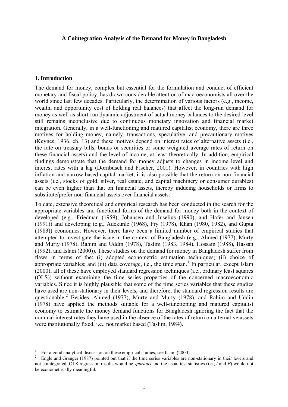### **A Cointegration Analysis of the Demand for Money in Bangladesh**

### **1. Introduction**

 $\overline{a}$ 

The demand for money, complex but essential for the formulation and conduct of efficient monetary and fiscal policy, has drawn considerable attention of macroeconomists all over the world since last few decades. Particularly, the determination of various factors (e.g., income, wealth, and opportunity cost of holding real balances) that affect the long-run demand for money as well as short-run dynamic adjustment of actual money balances to the desired level still remains inconclusive due to continuous monetary innovation and financial market integration. Generally, in a well-functioning and matured capitalist economy, there are three motives for holding money, namely, transactions, speculative, and precautionary motives (Keynes, 1936, ch. 13) and these motives depend on interest rates of alternative assets (i.e., the rate on treasury bills, bonds or securities or some weighted average rates of return on these financial assets) and the level of income, at least theoretically. In addition, empirical findings demonstrate that the demand for money adjusts to changes in income level and interest rates with a lag (Dornbusch and Fischer, 2001). However, in countries with high inflation and narrow based capital market, it is also possible that the return on non-financial assets (i.e., stocks of gold, silver, real estate, and capital machinery or consumer durables) can be even higher than that on financial assets, thereby inducing households or firms to substitute/prefer non-financial assets over financial assets.

To date, extensive theoretical and empirical research has been conducted in the search for the appropriate variables and functional forms of the demand for money both in the context of developed (e.g., Friedman (1959), Johansen and Juselius (1990), and Hafer and Jansen (1991)) and developing (e.g., Adekunle (1968), Fry (1978), Khan (1980, 1982), and Gupta (1983)) economies. However, there have been a limited number of empirical studies that attempted to investigate the issue in the context of Bangladesh (e.g., Ahmed (1977), Murty and Murty (1978), Rahim and Uddin (1978), Taslim (1983, 1984), Hossain (1988), Hassan (1992), and Islam (2000)). These studies on the demand for money in Bangladesh suffer from flaws in terms of the: (i) adopted econometric estimation techniques; (ii) choice of appropriate variables; and (iii) data coverage, i.e., the time span.<sup>[1](#page-3-0)</sup> In particular, except Islam (2000), all of these have employed standard regression techniques (i.e., ordinary least squares (OLS)) without examining the time series properties of the concerned macroeconomic variables. Since it is highly plausible that some of the time series variables that these studies have used are non-stationary in their levels, and therefore, the standard regression results are questionable.<sup>[2](#page-3-1)</sup> Besides, Ahmed (1977), Murty and Murty (1978), and Rahim and Uddin (1978) have applied the methods suitable for a well-functioning and matured capitalist economy to estimate the money demand functions for Bangladesh ignoring the fact that the nominal interest rates they have used in the absence of the rates of return on alternative assets were institutionally fixed, i.e., not market based (Taslim, 1984).

<span id="page-3-0"></span><sup>1</sup> For a good analytical discussion on these empirical studies, see Islam (2000).

<span id="page-3-1"></span>Engle and Granger (1987) pointed out that if the time series variables are non-stationary in their levels and not cointegrated, OLS regression results would be *spurious* and the usual test statistics (i.e., *t* and *F*) would not be econometrically meaningful.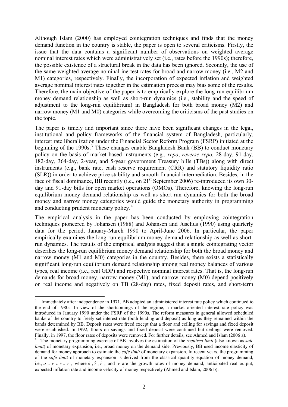Although Islam (2000) has employed cointegration techniques and finds that the money demand function in the country is stable, the paper is open to several criticisms. Firstly, the issue that the data contains a significant number of observations on weighted average nominal interest rates which were administratively set (i.e., rates before the 1990s); therefore, the possible existence of a structural break in the data has been ignored. Secondly, the use of the same weighted average nominal inertest rates for broad and narrow money (i.e., M2 and M1) categories, respectively. Finally, the incorporation of expected inflation and weighted average nominal interest rates together in the estimation process may bias some of the results. Therefore, the main objective of the paper is to empirically explore the long-run equilibrium money demand relationship as well as short-run dynamics (i.e., stability and the speed of adjustment to the long-run equilibrium) in Bangladesh for both broad money (M2) and narrow money (M1 and M0) categories while overcoming the criticisms of the past studies on the topic.

The paper is timely and important since there have been significant changes in the legal, institutional and policy frameworks of the financial system of Bangladesh, particularly, interest rate liberalization under the Financial Sector Reform Program (FSRP) initiated at the beginning of the 1990s.<sup>[3](#page-4-0)</sup> These changes enable Bangladesh Bank (BB) to conduct monetary policy on the basis of market based instruments (e.g., *repo*, *reverse repo*, 28-day, 91-day, 182-day, 364-day, 2-year, and 5-year government Treasury bills (TBs)) along with direct instruments (e.g., bank rate, cash reserve requirement (CRR) and statutory liquidity ratio (SLR)) in order to achieve price stability and smooth financial intermediation. Besides, in the face of fiscal dominance, BB recently (i.e., on 21<sup>st</sup> September 2006) re-introduced its own 30day and 91-day bills for open market operations (OMOs). Therefore, knowing the long-run equilibrium money demand relationship as well as short-run dynamics for both the broad money and narrow money categories would guide the monetary authority in programming and conducting prudent monetary policy.<sup>[4](#page-4-1)</sup>

The empirical analysis in the paper has been conducted by employing cointegration techniques pioneered by Johansen (1988) and Johansen and Juselius (1990) using quarterly data for the period, January-March 1990 to April-June 2006. In particular, the paper empirically examines the long-run equilibrium money demand relationship as well as shortrun dynamics. The results of the empirical analysis suggest that a single cointegrating vector describes the long-run equilibrium money demand relationship for both the broad money and narrow money (M1 and M0) categories in the country. Besides, there exists a statistically significant long-run equilibrium demand relationship among real money balances of various types, real income (i.e., real GDP) and respective nominal interest rates. That is, the long-run demands for broad money, narrow money (M1), and narrow money (M0) depend positively on real income and negatively on TB (28-day) rates, fixed deposit rates, and short-term

<span id="page-4-0"></span><sup>&</sup>lt;sup>3</sup> Immediately after independence in 1971, BB adopted an administered interest rate policy which continued to the end of 1980s. In view of the shortcomings of the regime, a market oriented interest rate policy was introduced in January 1990 under the FSRP of the 1990s. The reform measures in general allowed scheduled banks of the country to freely set interest rate (both lending and deposit) as long as they remained within the bands determined by BB. Deposit rates were freed except that a floor and ceiling for savings and fixed deposit were established. In 1992, floors on savings and fixed deposit were continued but ceilings were removed. Finally, in 1997, the floor rates of deposits were removed. For further details, see Ahmed and Islam (2006 a).

<span id="page-4-1"></span>The monetary programming exercise of BB involves the estimation of the *required limit* (also known as *safe limit*) of monetary expansion, i.e., broad money on the demand side. Previously, BB used income elasticity of demand for money approach to estimate the *safe limit* of monetary expansion. In recent years, the programming of the *safe limit* of monetary expansion is derived from the classical quantity equation of money demand, i.e.,  $\hat{M} = \hat{Y} + \hat{P} - \hat{V}$ , where  $\hat{M}$ ,  $\hat{Y}$ ,  $\hat{P}$ , and  $\hat{V}$  are the growth rates of money demand, anticipated real output, expected inflation rate and income velocity of money respectively (Ahmed and Islam, 2006 b).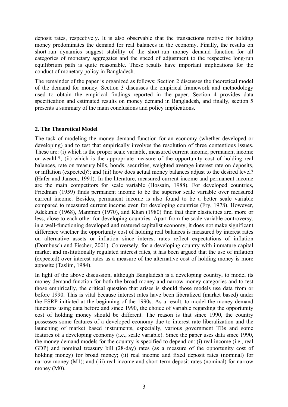deposit rates, respectively. It is also observable that the transactions motive for holding money predominates the demand for real balances in the economy. Finally, the results on short-run dynamics suggest stability of the short-run money demand function for all categories of monetary aggregates and the speed of adjustment to the respective long-run equilibrium path is quite reasonable. These results have important implications for the conduct of monetary policy in Bangladesh.

The remainder of the paper is organized as follows: Section 2 discusses the theoretical model of the demand for money. Section 3 discusses the empirical framework and methodology used to obtain the empirical findings reported in the paper. Section 4 provides data specification and estimated results on money demand in Bangladesh, and finally, section 5 presents a summary of the main conclusions and policy implications.

## **2. The Theoretical Model**

The task of modeling the money demand function for an economy (whether developed or developing) and to test that empirically involves the resolution of three contentious issues. These are: (i) which is the proper scale variable, measured current income, permanent income or wealth?; (ii) which is the appropriate measure of the opportunity cost of holding real balances, rate on treasury bills, bonds, securities, weighted average interest rate on deposits, or inflation (expected)?; and (iii) how does actual money balances adjust to the desired level? (Hafer and Jansen, 1991). In the literature, measured current income and permanent income are the main competitors for scale variable (Hossain, 1988). For developed countries, Friedman (1959) finds permanent income to be the superior scale variable over measured current income. Besides, permanent income is also found to be a better scale variable compared to measured current income even for developing countries (Fry, 1978). However, Adekunle (1968), Mammen (1970), and Khan (1980) find that their elasticities are, more or less, close to each other for developing countries. Apart from the scale variable controversy, in a well-functioning developed and matured capitalist economy, it does not make significant difference whether the opportunity cost of holding real balances is measured by interest rates on alternative assets or inflation since interest rates reflect expectations of inflation (Dornbusch and Fischer, 2001). Conversely, for a developing country with immature capital market and institutionally regulated interest rates, it has been argued that the use of inflation (expected) over interest rates as a measure of the alternative cost of holding money is more apposite (Taslim, 1984).

In light of the above discussion, although Bangladesh is a developing country, to model its money demand function for both the broad money and narrow money categories and to test those empirically, the critical question that arises is should those models use data from or before 1990. This is vital because interest rates have been liberalized (market based) under the FSRP initiated at the beginning of the 1990s. As a result, to model the money demand functions using data before and since 1990, the choice of variable regarding the opportunity cost of holding money should be different. The reason is that since 1990, the country possesses some features of a developed economy due to interest rate liberalization and the launching of market based instruments, especially, various government TBs and some features of a developing economy (i.e., scale variable). Since the paper uses data since 1990, the money demand models for the country is specified to depend on: (i) real income (i.e., real GDP) and nominal treasury bill (28-day) rates (as a measure of the opportunity cost of holding money) for broad money; (ii) real income and fixed deposit rates (nominal) for narrow money (M1); and (iii) real income and short-term deposit rates (nominal) for narrow money (M0).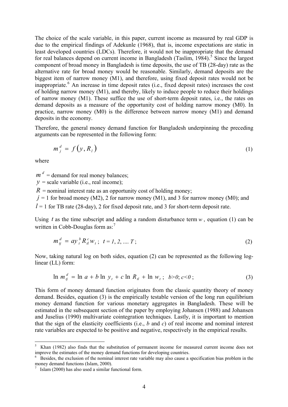The choice of the scale variable, in this paper, current income as measured by real GDP is due to the empirical findings of Adekunle (1968), that is, income expectations are static in least developed countries (LDCs). Therefore, it would not be inappropriate that the demand for real balances depend on current income in Bangladesh (Taslim,  $1984$ ).<sup>[5](#page-6-0)</sup> Since the largest component of broad money in Bangladesh is time deposits, the use of TB (28-day) rate as the alternative rate for broad money would be reasonable. Similarly, demand deposits are the biggest item of narrow money (M1), and therefore, using fixed deposit rates would not be inappropriate.<sup>[6](#page-6-1)</sup> An increase in time deposit rates (i.e., fixed deposit rates) increases the cost of holding narrow money (M1), and thereby, likely to induce people to reduce their holdings of narrow money (M1). These suffice the use of short-term deposit rates, i.e., the rates on demand deposits as a measure of the opportunity cost of holding narrow money (M0). In practice, narrow money (M0) is the difference between narrow money (M1) and demand deposits in the economy.

Therefore, the general money demand function for Bangladesh underpinning the preceding arguments can be represented in the following form:

$$
m_j^d = f(y, R_i) \tag{1}
$$

where

 $\overline{a}$ 

 $m^d$  = demand for real money balances:

 $y =$  scale variable (i.e., real income);

 $R =$  nominal interest rate as an opportunity cost of holding money;

 $j = 1$  for broad money (M2), 2 for narrow money (M1), and 3 for narrow money (M0); and

 $l = 1$  for TB rate (28-day), 2 for fixed deposit rate, and 3 for short-term deposit rate.

Using  $t$  as the time subscript and adding a random disturbance term  $w$ , equation (1) can be written in Cobb-Douglas form as:<sup>[7](#page-6-2)</sup>

$$
m_{ij}^{d} = ay_{i}^{b} R_{il}^{c} w_{i}; \ t = 1, 2, ..., T;
$$
 (2)

Now, taking natural log on both sides, equation (2) can be represented as the following loglinear (LL) form:

$$
\ln m_{ij}^d = \ln a + b \ln y_i + c \ln R_{il} + \ln w_i; \ \ b > 0; c < 0; \tag{3}
$$

This form of money demand function originates from the classic quantity theory of money demand. Besides, equation (3) is the empirically testable version of the long run equilibrium money demand function for various monetary aggregates in Bangladesh. These will be estimated in the subsequent section of the paper by employing Johansen (1988) and Johansen and Juselius (1990) multivariate cointegration techniques. Lastly, it is important to mention that the sign of the elasticity coefficients (i.e., *b* and *c*) of real income and nominal interest rate variables are expected to be positive and negative, respectively in the empirical results.

<span id="page-6-0"></span><sup>5</sup> Khan (1982) also finds that the substitution of permanent income for measured current income does not improve the estimates of the money demand functions for developing countries.

<span id="page-6-1"></span><sup>6</sup> Besides, the exclusion of the nominal interest rate variable may also cause a specification bias problem in the money demand functions (Islam, 2000).

<span id="page-6-2"></span> $\frac{7}{1}$  Islam (2000) has also used a similar functional form.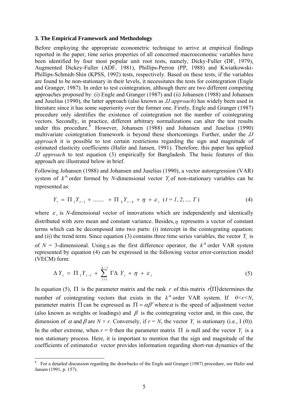#### **3. The Empirical Framework and Methodology**

Before employing the appropriate econometric technique to arrive at empirical findings reported in the paper, time series properties of all concerned macroeconomic variables have been identified by four most popular unit root tests, namely, Dicky-Fuller (DF, 1979), Augmented Dickey-Fuller (ADF, 1981), Phillips-Perron (PP, 1988) and Kwiatkowski-Phillips-Schmidt-Shin (KPSS, 1992) tests, respectively. Based on these tests, if the variables are found to be non-stationary in their levels, it necessitates the tests for cointegration (Engle and Granger, 1987). In order to test cointegration, although there are two different competing approaches proposed by: (i) Engle and Granger (1987) and (ii) Johansen (1988) and Johansen and Juselius (1990), the latter approach (also known as *JJ approach*) has widely been used in literature since it has some superiority over the former one. Firstly, Engle and Granger (1987) procedure only identifies the existence of cointegration not the number of cointegrating vectors. Secondly, in practice, different arbitrary normalizations can alter the test results under this procedure. <sup>[8](#page-7-0)</sup> However, Johansen (1988) and Johansen and Juselius (1990) multivariate cointegration framework is beyond these shortcomings. Further, under the *JJ approach* it is possible to test certain restrictions regarding the sign and magnitude of estimated elasticity coefficients (Hafer and Jansen, 1991). Therefore, this paper has applied *JJ approach* to test equation (3) empirically for Bangladesh. The basic features of this approach are illustrated below in brief.

Following Johansen (1988) and Johansen and Juselius (1990), a vector autoregression (VAR) system of  $k^{th}$  order formed by *N*-dimensional vector  $Y_t$  of non-stationary variables can be represented as:

$$
Y_{t} = \Pi_{1} Y_{t-1} + \dots + \Pi_{k} Y_{t-k} + \eta + \varepsilon_{t} \quad (t = 1, 2, \dots T)
$$
 (4)

where  $\varepsilon$ , is *N*-dimensional vector of innovations which are independently and identically distributed with zero mean and constant variance. Besides,  $n$  represents a vector of constant terms which can be decomposed into two parts: (i) intercept in the cointegrating equation; and (ii) the trend term. Since equation (3) contains three time series variables, the vector  $Y_t$  is of  $N = 3$ -dimensional. Using  $\triangle$  as the first difference operator, the  $k^{\text{th}}$  order VAR system represented by equation (4) can be expressed in the following vector error-correction model (VECM) form:

$$
\Delta Y_t = \Pi_1 Y_{t-1} + \sum_{i=1}^{k-1} \Gamma \Delta Y_t + \eta + \varepsilon_t \tag{5}
$$

In equation (5),  $\Pi$  is the parameter matrix and the rank *r* of this matrix  $r(\Pi)$  determines the number of cointegrating vectors that exists in the  $k^{\text{th}}$  order VAR system. If  $0 \le r \le N$ , parameter matrix  $\Pi$  can be expressed as  $\Pi = \alpha \beta'$  where  $\alpha$  is the speed of adjustment vector (also known as weights or loadings) and  $\beta$  is the cointegrating vector and, in this case, the dimension of  $\alpha$  and  $\beta$  are  $N \times r$ . Conversely, if  $r = N$ , the vector  $Y_t$  is stationary (i.e., I (0)). In the other extreme, when  $r = 0$  then the parameter matrix  $\Pi$  is null and the vector  $Y_t$  is a non stationary process. Here, it is important to mention that the sign and magnitude of the coefficients of estimated  $\alpha$  vector provides information regarding short-run dynamics of the

<span id="page-7-0"></span><sup>&</sup>lt;sup>8</sup> For a detailed discussion regarding the drawbacks of the Engle and Granger (1987) procedure, see Hafer and Jansen (1991, p. 157).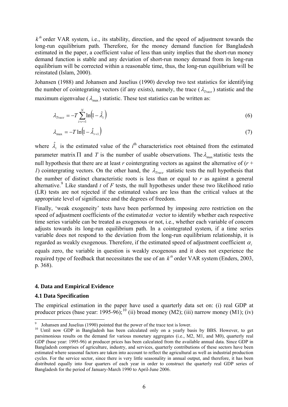$k<sup>th</sup>$  order VAR system, i.e., its stability, direction, and the speed of adjustment towards the long-run equilibrium path. Therefore, for the money demand function for Bangladesh estimated in the paper, a coefficient value of less than unity implies that the short-run money demand function is stable and any deviation of short-run money demand from its long-run equilibrium will be corrected within a reasonable time, thus, the long-run equilibrium will be reinstated (Islam, 2000).

Johansen (1988) and Johansen and Juselius (1990) develop two test statistics for identifying the number of cointegrating vectors (if any exists), namely, the trace  $(\lambda_{Trac})$  statistic and the maximum eigenvalue ( $\lambda_{\text{max}}$ ) statistic. These test statistics can be written as:

$$
\lambda_{Trace} = -T \sum_{i=r+1}^{N} \ln(1 - \hat{\lambda}_i)
$$
\n(6)

$$
\lambda_{\max} = -T \ln \left( 1 - \hat{\lambda}_{r+1} \right) \tag{7}
$$

where  $\hat{\lambda}_i$  is the estimated value of the *i*<sup>th</sup> characteristics root obtained from the estimated parameter matrix  $\Pi$  and  $T$  is the number of usable observations. The  $\lambda_{\text{max}}$  statistic tests the null hypothesis that there are at least *r* cointergrating vectors as against the alternative of (*r* + *1*) cointergrating vectors. On the other hand, the  $\lambda_{Trace}$  statistic tests the null hypothesis that the number of distinct characteristic roots is less than or equal to *r* as against a general alternative.<sup>[9](#page-8-0)</sup> Like standard *t* of *F* tests, the null hypotheses under these two likelihood ratio (LR) tests are not rejected if the estimated values are less than the critical values at the appropriate level of significance and the degrees of freedom.

Finally, 'weak exogeneity' tests have been performed by imposing zero restriction on the speed of adjustment coefficients of the estimated  $\alpha$  vector to identify whether each respective time series variable can be treated as exogenous or not, i.e., whether each variable of concern adjusts towards its long-run equilibrium path. In a cointegrated system, if a time series variable does not respond to the deviation from the long-run equilibrium relationship, it is regarded as weakly exogenous. Therefore, if the estimated speed of adjustment coefficient  $\alpha_i$ equals zero, the variable in question is weakly exogenous and it does not experience the required type of feedback that necessitates the use of an  $k^{th}$  order VAR system (Enders, 2003, p. 368).

#### **4. Data and Empirical Evidence**

#### **4.1 Data Specification**

 $\overline{a}$ 

The empirical estimation in the paper have used a quarterly data set on: (i) real GDP at producer prices (base year: 1995-96);<sup>[10](#page-8-1)</sup> (ii) broad money (M2); (iii) narrow money (M1); (iv)

<sup>9</sup>

<span id="page-8-1"></span><span id="page-8-0"></span><sup>&</sup>lt;sup>9</sup> Johansen and Juselius (1990) pointed that the power of the trace test is lower.<br><sup>10</sup> Until now GDP in Bangladesh has been calculated only on a yearly basis by BBS. However, to get parsimonious results on the demand for various monetary aggregates (i.e., M2, M1, and M0), quarterly real GDP (base year: 1995-96) at producer prices has been calculated from the available annual data. Since GDP in Bangladesh comprises of agriculture, industry, and services, quarterly contributions of these sectors have been estimated where seasonal factors are taken into account to reflect the agricultural as well as industrial production cycles. For the service sector, since there is very little seasonality in annual output, and therefore, it has been distributed equally into four quarters of each year in order to construct the quarterly real GDP series of Bangladesh for the period of January-March 1990 to April-June 2006.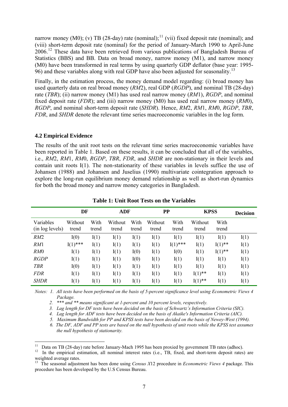narrow money (M0); (v) TB (28-day) rate (nominal);<sup>[11](#page-9-0)</sup> (vii) fixed deposit rate (nominal); and (viii) short-term deposit rate (nominal) for the period of January-March 1990 to April-June 2006.<sup>[12](#page-9-1)</sup> These data have been retrieved from various publications of Bangladesh Bureau of Statistics (BBS) and BB. Data on broad money, narrow money (M1), and narrow money (M0) have been transformed in real terms by using quarterly GDP deflator (base year: 1995- 96) and these variables along with real GDP have also been adjusted for seasonality.[13](#page-9-2)

Finally, in the estimation process, the money demand model regarding: (i) broad money has used quarterly data on real broad money (*RM*2), real GDP (*RGDP*), and nominal TB (28-day) rate (*TBR*); (ii) narrow money (M1) has used real narrow money (*RM*1), *RGDP*, and nominal fixed deposit rate (*FDR*); and (iii) narrow money (M0) has used real narrow money (*RM*0), *RGDP*, and nominal short-term deposit rate (*SHDR*). Hence, *RM*2, *RM*1, *RM*0, *RGDP*, *TBR*, *FDR*, and *SHDR* denote the relevant time series macroeconomic variables in the log form.

## **4.2 Empirical Evidence**

The results of the unit root tests on the relevant time series macroeconomic variables have been reported in Table 1. Based on these results, it can be concluded that all of the variables, i.e., *RM*2, *RM*1, *RM*0, *RGDP*, *TBR*, *FDR*, and *SHDR* are non-stationary in their levels and contain unit roots I(1). The non-stationarity of these variables in levels suffice the use of Johansen (1988) and Johansen and Juselius (1990) multivariate cointegration approach to explore the long-run equilibrium money demand relationship as well as short-run dynamics for both the broad money and narrow money categories in Bangladesh.

|                              | DF               |               | <b>ADF</b>       |               | $\bf PP$         |               | <b>KPSS</b>      |               | <b>Decision</b> |
|------------------------------|------------------|---------------|------------------|---------------|------------------|---------------|------------------|---------------|-----------------|
| Variables<br>(in log levels) | Without<br>trend | With<br>trend | Without<br>trend | With<br>trend | Without<br>trend | With<br>trend | Without<br>trend | With<br>trend |                 |
| RM2                          | I(0)             | I(1)          | I(1)             | I(1)          | I(1)             | I(1)          | I(1)             | I(1)          | I(1)            |
| RM1                          | $I(1)$ ***       | I(1)          | I(1)             | I(1)          | I(1)             | $I(1)$ ***    | I(1)             | $I(1)$ **     | I(1)            |
| RM0                          | I(1)             | I(1)          | I(1)             | I(0)          | I(1)             | I(0)          | I(1)             | $I(1)$ **     | I(1)            |
| <b>RGDP</b>                  | I(1)             | I(1)          | I(1)             | I(0)          | I(1)             | I(1)          | I(1)             | I(1)          | I(1)            |
| <b>TBR</b>                   | I(0)             | I(1)          | I(1)             | I(1)          | I(1)             | I(1)          | I(1)             | I(1)          | I(1)            |
| <b>FDR</b>                   | I(1)             | I(1)          | I(1)             | I(1)          | I(1)             | I(1)          | $I(1)$ **        | I(1)          | I(1)            |
| <b>SHDR</b>                  | I(1)             | I(1)          | I(1)             | I(1)          | I(1)             | I(1)          | $I(1)$ **        | I(1)          | I(1)            |

**Table 1: Unit Root Tests on the Variables** 

*Notes: 1. All tests have been performed on the basis of 5-percent significance level using Econometric Views 4 Package.* 

 *2. \*\*\* and \*\* means significant at 1-percent and 10 percent levels, respectively.* 

 *3. Lag length for DF tests have been decided on the basis of Schwartz's Information Criteria (SIC).* 

 *4. Lag length for ADF tests have been decided on the basis of Akaike's Information Criteria (AIC).* 

 *5. Maximum Bandwidth for PP and KPSS tests have been decided on the basis of Newey-West (1994).* 

 *6. The DF, ADF and PP tests are based on the null hypothesis of unit roots while the KPSS test assumes the null hypothesis of stationarity.* 

<span id="page-9-0"></span> $11$ Data on TB (28-day) rate before January-Mach 1995 has been proxied by government TB rates (adhoc).

<span id="page-9-1"></span><sup>&</sup>lt;sup>12</sup> In the empirical estimation, all nominal interest rates (i.e., TB, fixed, and short-term deposit rates) are weighted average rates.

<span id="page-9-2"></span><sup>13</sup> The seasonal adjustment has been done using *Census X*12 procedure in *Econometric Views 4* package. This procedure has been developed by the U.S Census Bureau.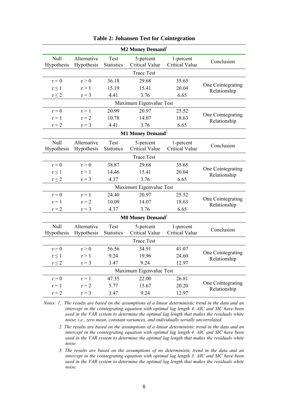|                    |                           |                           | <b>M2 Money Demand</b> <sup>1</sup> |                                    |                                   |
|--------------------|---------------------------|---------------------------|-------------------------------------|------------------------------------|-----------------------------------|
| Null<br>Hypothesis | Alternative<br>Hypothesis | Test<br><b>Statistics</b> | 5-percent<br><b>Critical Value</b>  | 1-percent<br><b>Critical Value</b> | Conclusion                        |
|                    |                           |                           | <b>Trace Test</b>                   |                                    |                                   |
| $r = 0$            | r > 0                     | 36.18                     | 29.68                               | 35.65                              |                                   |
| $r \leq 1$         | r > 1                     | 15.19                     | 15.41                               | 20.04                              | One Cointegrating<br>Relationship |
| $r \leq 2$         | $r = 3$                   | 4.41                      | 3.76                                | 6.65                               |                                   |
|                    |                           |                           | Maximum Eigenvalue Test             |                                    |                                   |
| $r = 0$            | $r = 1$                   | 20.99                     | 20.97                               | 25.52                              |                                   |
| $r = 1$            | $r = 2$                   | 10.78                     | 14.07                               | 18.63                              | One Cointegrating<br>Relationship |
| $r = 2$            | $r = 3$                   | 4.41                      | 3.76                                | 6.65                               |                                   |
|                    |                           |                           | M1 Money Demand <sup>2</sup>        |                                    |                                   |
| Null<br>Hypothesis | Alternative<br>Hypothesis | Test<br><b>Statistics</b> | 5-percent<br><b>Critical Value</b>  | 1-percent<br><b>Critical Value</b> | Conclusion                        |
|                    |                           |                           | <b>Trace Test</b>                   |                                    |                                   |
| $r = 0$            | r > 0                     | 38.87                     | 29.68                               | 35.65                              |                                   |
| $r \leq 1$         | r > 1                     | 14.46                     | 15.41                               | 20.04                              | One Cointegrating<br>Relationship |
| $r \leq 2$         | $r = 3$                   | 4.37                      | 3.76                                | 6.65                               |                                   |
|                    |                           |                           | Maximum Eigenvalue Test             |                                    |                                   |
| $r = 0$            | $r = 1$                   | 24.40                     | 20.97                               | 25.52                              | One Cointegrating                 |
| $r = 1$            | $r = 2$                   | 10.09                     | 14.07                               | 18.63                              | Relationship                      |
| $r = 2$            | $r = 3$                   | 4.37                      | 3.76                                | 6.65                               |                                   |
|                    |                           |                           | <b>M0 Money Demand</b> <sup>3</sup> |                                    |                                   |
| Null<br>Hypothesis | Alternative<br>Hypothesis | Test<br><b>Statistics</b> | 5-percent<br><b>Critical Value</b>  | 1-percent<br><b>Critical Value</b> | Conclusion                        |
|                    |                           |                           | <b>Trace Test</b>                   |                                    |                                   |
| $r = 0$            | r > 0                     | 56.56                     | 34.91                               | 41.07                              |                                   |
| $r \leq 1$         | r > 1                     | 9.24                      | 19.96                               | 24.60                              | One Cointegrating<br>Relationship |
| $r\leq 2$          | $r = 3$                   | 3.47                      | 9.24                                | 12.97                              |                                   |
|                    |                           |                           | Maximum Eigenvalue Test             |                                    |                                   |
| $r = 0$            | $r = 1$                   | 47.35                     | 22.00                               | 26.81                              |                                   |
| $r = 1$            | $r = 2$                   | 5.77                      | 15.67                               | 20.20                              | One Cointegrating<br>Relationship |
| $r = 2$            | $r = 3$                   | 3.47                      | 9.24                                | 12.97                              |                                   |

*Notes: 1. The results are based on the assumptions of a linear deterministic trend in the data and an intercept in the cointegrating equation with optimal lag length 4. AIC and SIC have been used in the VAR system to determine the optimal lag length that makes the residuals white noise, i.e., zero mean, constant variances, and individually serially uncorrelated.* 

- *2. The results are based on the assumptions of a linear deterministic trend in the data and an intercept in the cointegrating equation with optimal lag length 4. AIC and SIC have been used in the VAR system to determine the optimal lag length that makes the residuals white noise.*
- *3. The results are based on the assumptions of no deterministic trend in the data and an intercept in the cointegrating equation with optimal lag length 3. AIC and SIC have been used in the VAR system to determine the optimal lag length that makes the residuals white noise.*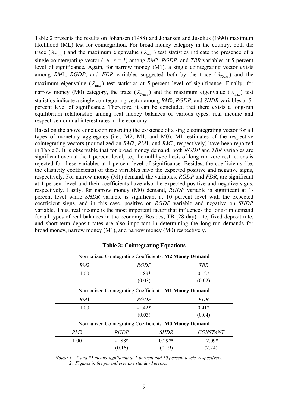Table 2 presents the results on Johansen (1988) and Johansen and Juselius (1990) maximum likelihood (ML) test for cointegration. For broad money category in the country, both the trace ( $\lambda_{Trace}$ ) and the maximum eigenvalue ( $\lambda_{max}$ ) test statistics indicate the presence of a single cointergrating vector (i.e.,  $r = 1$ ) among *RM2*, *RGDP*, and *TBR* variables at 5-percent level of significance. Again, for narrow money  $(M1)$ , a single cointegrating vector exists among *RM*1, *RGDP*, and *FDR* variables suggested both by the trace  $(\lambda_{Trace})$  and the maximum eigenvalue ( $\lambda_{\text{max}}$ ) test statistics at 5-percent level of significance. Finally, for narrow money (M0) category, the trace ( $\lambda_{Trace}$ ) and the maximum eigenvalue ( $\lambda_{max}$ ) test statistics indicate a single cointegrating vector among RM0, RGDP, and SHDR variables at 5percent level of significance. Therefore, it can be concluded that there exists a long-run equilibrium relationship among real money balances of various types, real income and respective nominal interest rates in the economy.

Based on the above conclusion regarding the existence of a single cointegrating vector for all types of monetary aggregates (i.e.,  $M2$ ,  $M1$ , and  $M0$ ),  $ML$  estimates of the respective cointegrating vectors (normalized on *RM2*, *RM*1, and *RM*0, respectively) have been reported in Table 3. It is observable that for broad money demand, both *RGDP* and *TBR* variables are significant even at the 1-percent level, i.e., the null hypothesis of long-run zero restrictions is rejected for these variables at 1-percent level of significance. Besides, the coefficients (i.e. the elasticity coefficients) of these variables have the expected positive and negative signs, respectively. For narrow money (M1) demand, the variables, *RGDP* and *FDR*, are significant at 1-percent level and their coefficients have also the expected positive and negative signs, respectively. Lastly, for narrow money (M0) demand, *RGDP* variable is significant at 1percent level while *SHDR* variable is significant at 10 percent level with the expected coefficient signs, and in this case, positive on *RGDP* variable and negative on *SHDR* variable. Thus, real income is the most important factor that influences the long-run demand for all types of real balances in the economy. Besides, TB (28-day) rate, fixed deposit rate, and short-term deposit rates are also important in determining the long-run demands for broad money, narrow money  $(M1)$ , and narrow money  $(M0)$  respectively.

|                 | Normalized Cointegrating Coefficients: M2 Money Demand |                           |                 |
|-----------------|--------------------------------------------------------|---------------------------|-----------------|
| RM2             |                                                        | <b>RGDP</b><br><b>TBR</b> |                 |
| 1.00            |                                                        | $0.12*$<br>$-1.89*$       |                 |
|                 | (0.03)                                                 |                           | (0.02)          |
|                 | Normalized Cointegrating Coefficients: M1 Money Demand |                           |                 |
| RM1             |                                                        | RGDP<br><b>FDR</b>        |                 |
| 1.00            |                                                        | $-1.42*$<br>$0.41*$       |                 |
|                 | (0.03)                                                 |                           | (0.04)          |
|                 | Normalized Cointegrating Coefficients: M0 Money Demand |                           |                 |
| RM <sub>0</sub> | <b>RGDP</b>                                            | <i>SHDR</i>               | <b>CONSTANT</b> |
| 1.00            | $-1.88*$                                               | $0.29**$                  | $12.09*$        |
|                 | (0.16)                                                 | (0.19)                    | (2.24)          |

**Table 3: Cointegrating Equations** 

 *Note s: 1. \* and \*\* means significant at 1-percent and 10 percent levels, respectively. 2. Figures in the parentheses are standard errors.*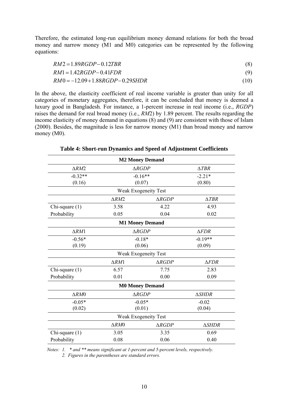Therefore, the estimated long-run equilibrium money demand relations for both the broad money and narrow money (M1 and M0) categories can be represented by the following equatio ns:

$$
RM2 = 1.89RGDP - 0.12TBR
$$
\n
$$
(8)
$$

$$
RM1 = 1.42RGDP - 0.41FDR
$$
\n
$$
(9)
$$

*RM* 0 = −12.09 + 1.88*RGDP* − 0.29*SHDR* (10)

In the above, the elasticity coefficient of real income variable is greater than unity for all categories of monetary aggregates, therefore, it can be concluded that money is deemed a luxury good in Bangladesh. For instance, a 1-percent increase in real income (i.e., *RGDP*) raises the demand for real broad money (i.e., *RM*2) by 1.89 percent. The results regarding the income elasticity of money demand in equations ( 8) and (9) are consistent with those of Islam (2000). Besides, the magnitude is less for narrow money (M1) than broad money and narrow money (M0).

|                  |                  | <b>M2 Money Demand</b>      |                 |  |
|------------------|------------------|-----------------------------|-----------------|--|
| $\triangle RM2$  |                  | $\triangle RGDP$            | $\triangle TBR$ |  |
| $-0.32**$        |                  | $-0.16**$                   | $-2.21*$        |  |
| (0.16)           | (0.07)           | (0.80)                      |                 |  |
|                  |                  | <b>Weak Exogeneity Test</b> |                 |  |
|                  | $\triangle RM2$  | $\triangle RGDP$            | $\triangle TBR$ |  |
| Chi-square (1)   | 3.58             | 4.22                        | 4.93            |  |
| Probability      | 0.05             | 0.04                        | 0.02            |  |
|                  |                  | <b>M1 Money Demand</b>      |                 |  |
| $\triangle RM1$  |                  | $\triangle RGDP$            | $\triangle FDR$ |  |
| $-0.56*$         | $-0.18*$         | $-0.19**$                   |                 |  |
| (0.19)           |                  | (0.06)                      | (0.09)          |  |
|                  |                  | <b>Weak Exogeneity Test</b> |                 |  |
|                  | $\triangle RM1$  | $\triangle RGDP$            | $\triangle FDR$ |  |
| Chi-square (1)   | 6.57             | 7.75                        | 2.83            |  |
| Probability      | 0.01             | 0.00                        | 0.09            |  |
|                  |                  | <b>M0 Money Demand</b>      |                 |  |
| $\triangle RM0$  | $\triangle RGDP$ |                             | <b>ASHDR</b>    |  |
| $-0.05*$         | $-0.05*$         |                             | $-0.02$         |  |
| (0.02)           | (0.01)           | (0.04)                      |                 |  |
|                  |                  | <b>Weak Exogeneity Test</b> |                 |  |
|                  | $\triangle RM0$  | $\triangle RGDP$            | <b>ASHDR</b>    |  |
| Chi-square $(1)$ | 3.05             | 3.35                        | 0.69            |  |
| Probability      | 0.08             | 0.06                        | 0.40            |  |

**Table 4: Short-run Dynamics and Speed of Adjustment Coefficients** 

*Notes: 1. \* and \*\* means significant at 1-percent and 5-percent levels, respectively.* 

 *2. Figures in the parentheses are standard errors.*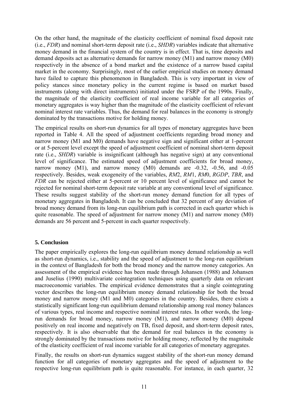On the other hand, the magnitude of the elasticity coefficient of nominal fixed deposit rate (i.e., *FDR*) and nominal short-term deposit rate (i.e., *SHDR*) variables indicate that alternative money demand in the financial system of the country is in effect. That is, time deposits and demand deposits act as alternative demands for narrow money (M1) and narrow money (M0) respectively in the absence of a bond market and the existence of a narrow based capital market in the economy. Surprisingly , most of the earlier empirical studies on money demand have failed to capture this phenomenon in Bangladesh. This is very important in view of policy stances since monetary policy in the current regime is based on market based instruments (along with direct instruments) initiated under the FSRP of the 1990s. Finally, the magnitude of the elasticity coefficient of real income variable for all categories of monetary aggregates is way higher than the magnitude of the elasticity coefficient of relevant nominal interest rate variables. Thus, the demand for real balances in the economy is strongly dominated by the transactions motive for holding money.

reported in Table 4. All the speed of adjustment coefficients regarding broad money and narrow money (M1 and M0) demands have negative sign and significant either at 1-percent or at 5-percent level except the speed of adjustment coefficient of nominal short-term deposit rate (i.e., *SHDR*) variable is insignificant (although has negative sign) at any conventional level of significance. The estimated speed of adjustment coefficients for broad money, narrow money  $(M1)$ , and narrow money  $(M0)$  demands are  $-0.32$ ,  $-0.56$ , and  $-0.05$ respectively. Besides, weak exogeneity of the variables, *RM2*, *RM1*, *RM0*, *RGDP*, *TBR*, and *FDR* can be rejected either at 5-percent or 10 percent level of significance and cannot be rejected for nominal short-term deposit rate variable at any conventional level of significance. These results suggest stability of the short-run money demand function for all types of monetary aggregates in Bangladesh. It can be concluded that 32 percent of any deviation of broad money demand from its long-run equilibrium path is corrected in each quarter which is quite reasonable. The speed of adjustment for narrow money  $(M1)$  and narrow money  $(M0)$ demands are 56 percent and 5-percent in each quarter respectively. The empirical results on short-run dynamics for all types of monetary aggregates have been

## **5. Conclusion**

The paper empirically explores the long-run equilibrium money demand relationship as well as short-run dynamics, i.e., stability and the speed of adjustment to the long-run equilibrium in the context of Bangladesh for both the broad money and the narrow money categories. An assessment of the empirical evidence has been made through Johansen (1988) and Johansen and Juselius (1990) multivariate cointegration techniques using quarterly data on relevant macroeconomic variables. The empirical evidence demonstrates that a single cointegrating vector describes the long-run equilibrium money demand relationship for both the broad money and narrow money (M1 and M0) categories in the country. Besides, there exists a statistically significant long-run equilibrium demand relationship among real money balances of various types, real income and respective nominal interest rates. In other words, the longrun demands for broad money, narrow money (M1), and narrow money (M0) depend positively on real income and negatively on TB, fixed deposit, and short-term deposit rates, respectively. It is also observable that the demand for real balances in the economy is strongly dominated by the transactions motive for holding money, reflected by the magnitude of the elasticity coefficient of real income variable for all categories of monetary aggregates.

Finally, the results on short-run dynamics suggest stability of the short-run money demand function for all categories of monetary aggregates and the speed of adjustment to the respective long-run equilibrium path is quite reasonable. For instance, in each quarter, 32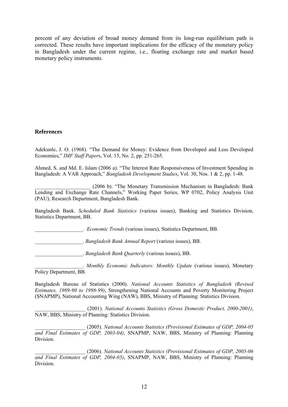percent of any deviation of broad money demand from its long-run equilibrium path is corrected. These results have important implications for the efficacy of the monetary policy in Bangladesh under the current regime, i.e., floating exchange rate and market based monetary policy instruments.

### **References**

Adekunle, J. O. (1968). "The Demand for Money: Evidence from Developed and Less Developed Economies," *IMF Staff Paper*s, Vol. 15, No. 2, pp. 251-265.

Ahmed, S. and Md. E. Islam (2006 a). "The Interest Rate Responsiveness of Investment Spending in Bangladesh: A VAR Approach," *Bangladesh Development Studies*, Vol. 30, Nos. 1 & 2, pp. 1-48.

\_\_\_\_\_\_\_\_\_\_\_\_\_\_\_\_\_\_\_\_\_ (2006 b). "The Monetary Transmission Mechanism in Bangladesh: Bank Lending and Exchange Rate Channels," Working Paper Series, WP 0702, Policy Analysis Unit (PAU), Research Department, Bangladesh Bank.

Bangladesh Bank. *Scheduled Bank Statistics* (various issues), Banking and Statistics Division, Statistics Department, BB.

\_\_\_\_\_\_\_\_\_\_\_\_\_\_\_\_\_\_. *Economic Trends* (various issues), Statistics Department, BB.

\_\_\_\_\_\_\_\_\_\_\_\_\_\_\_\_\_\_. *Bangladesh Bank Annual Report* (various issues), BB.

\_\_\_\_\_\_\_\_\_\_\_\_\_\_\_\_\_\_. *Bangladesh Bank Quarterly* (various issues), BB.

\_\_\_\_\_\_\_\_\_\_\_\_\_\_\_\_\_\_. *Monthly Economic Indicators: Monthly Update* (various issues), Monetary Policy Department, BB.

Bangladesh Bureau of Statistics (2000). *National Accounts Statistics of Bangladesh (Revised Estimates, 1989-90 to 1998-99)*, Strengthening National Accounts and Poverty Monitoring Project (SNAPMP), National Accounting Wing (NAW), BBS, Ministry of Planning: Statistics Division.

\_\_\_\_\_\_\_\_\_\_\_\_\_\_\_\_\_\_\_ (2001). *National Accounts Statistics (Gross Domestic Product, 2000-2001)*, NAW, BBS, Ministry of Planning: Statistics Division.

\_\_\_\_\_\_\_\_\_\_\_\_\_\_\_\_\_\_\_ (2005). *National Accounts Statistics (Provisional Estimates of GDP, 2004-05 and Final Estimates of GDP, 2003-04)*, SNAPMP, NAW, BBS, Ministry of Planning: Planning Division.

\_\_\_\_\_\_\_\_\_\_\_\_\_\_\_\_\_\_\_ (2006). *National Accounts Statistics (Provisional Estimates of GDP, 2005-06 and Final Estimates of GDP, 2004-05)*, SNAPMP, NAW, BBS, Ministry of Planning: Planning Division.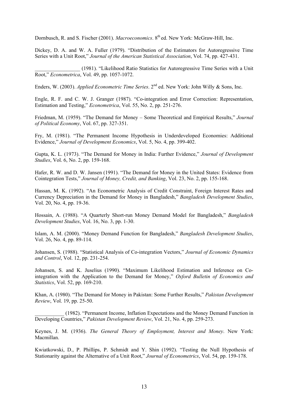Dornbusch, R. and S. Fischer (2001). *Macroeconomics*. 8<sup>th</sup> ed. New York: McGraw-Hill, Inc.

Dickey, D. A. and W. A. Fuller (1979). "Distribution of the Estimators for Autoregressive Time Series with a Unit Root," *Journal of the American Statistical Association*, Vol. 74, pp. 427-431.

\_\_\_\_\_\_\_\_\_\_\_\_\_\_\_\_\_ (1981). "Likelihood Ratio Statistics for Autoregressive Time Series with a Unit Root," *Econometrica*, Vol. 49, pp. 1057-1072.

Enders, W. (2003). *Applied Econometric Time Series*. 2<sup>nd</sup> ed. New York: John Willy & Sons, Inc.

Engle, R. F. and C. W. J. Granger (1987). "Co-integration and Error Correction: Representation, Estimation and Testing," *Econometrica*, Vol. 55, No. 2, pp. 251-276.

Friedman, M. (1959). "The Demand for Money – Some Theoretical and Empirical Results," Journal *f Political Economy*, Vol. 67, pp. 327-351. *o*

Fry, M. (1981). "The Permanent Income Hypothesis in Underdeveloped Economies: Additional Evidence," *Journal of Development Economics*, Vol. 5, No. 4, pp. 399-402.

Gupta, K. L. (1973). "The Demand for Money in India: Further Evidence," *Journal of Development Studies*, Vol. 6, No. 2, pp. 159-168.

Hafer, R. W. and D. W. Jansen (1991). "The Demand for Money in the United States: Evidence from Cointegration Tests," *Journal of Money, Credit, and Banking*, Vol. 23, No. 2, pp. 155-168.

Hassan, M. K. (1992). "An Econometric Analysis of Credit Constraint, Foreign Interest Rates and Currency Depreciation in the Demand for Money in Bangladesh," *Bangladesh Development Studies*, Vol. 20, No. 4, pp. 19-36.

Hossain, A. (1988). "A Quarterly Short-run Money Demand Model for Bangladesh," *Bangladesh* Development Studies, Vol. 16, No. 3, pp. 1-30.

Islam, A. M. (2000). "Money Demand Function for Bangladesh," *Bangladesh Development Studies*, Vol. 26, No. 4, pp. 89-114.

Johansen, S. (1988). "Statistical Analysis of Co-integration Vectors," *Journal of Economic Dynamics and Control*, Vol. 12, pp. 231-254.

integration with the Application to the Demand for Money," *Oxford Bulletin of Economics and* Johansen, S. and K. Juselius (1990). "Maximum Likelihood Estimation and Inference on Co-*Statistics*, Vol. 52, pp. 169-210.

Khan, A. (1980). "The Demand for Money in Pakistan: Some Further Results," *Pakistan Development Review*, Vol. 19, pp. 25-50.

Developing Countries," *Pakistan Development Review*, Vol. 21, No. 4, pp. 259-273. \_\_\_\_\_\_\_\_\_\_\_ (1982). "Permanent Income, Inflation Expectations and the Money Demand Function in

. Macmillan Keynes, J. M. (1936). *The General Theory of Employment, Interest and Money*. New York:

Kwiatkowski, D., P. Phillips, P. Schmidt and Y. Shin (1992). "Testing the Null Hypothesis of Stationarity against the Alternative of a Unit Root," *Journal of Econometrics*, Vol. 54, pp. 159-178.